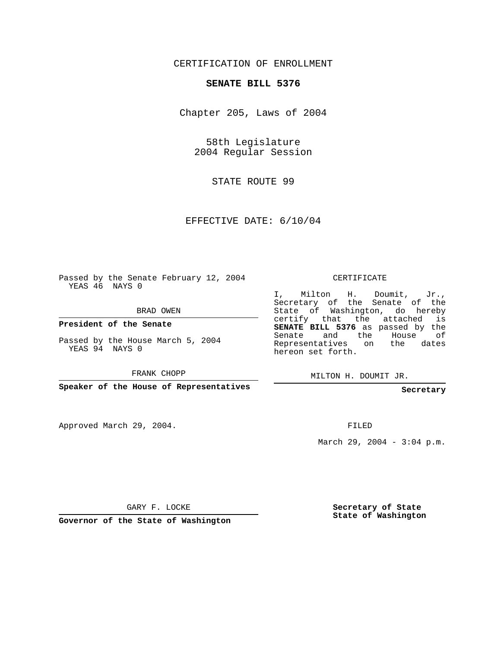## CERTIFICATION OF ENROLLMENT

## **SENATE BILL 5376**

Chapter 205, Laws of 2004

58th Legislature 2004 Regular Session

STATE ROUTE 99

EFFECTIVE DATE: 6/10/04

Passed by the Senate February 12, 2004 YEAS 46 NAYS 0

BRAD OWEN

**President of the Senate**

Passed by the House March 5, 2004 YEAS 94 NAYS 0

FRANK CHOPP

**Speaker of the House of Representatives**

Approved March 29, 2004.

CERTIFICATE

I, Milton H. Doumit, Jr., Secretary of the Senate of the State of Washington, do hereby certify that the attached is **SENATE BILL 5376** as passed by the Senate and the House of Representatives on the dates hereon set forth.

MILTON H. DOUMIT JR.

**Secretary**

FILED

March 29, 2004 -  $3:04$  p.m.

GARY F. LOCKE

**Governor of the State of Washington**

**Secretary of State State of Washington**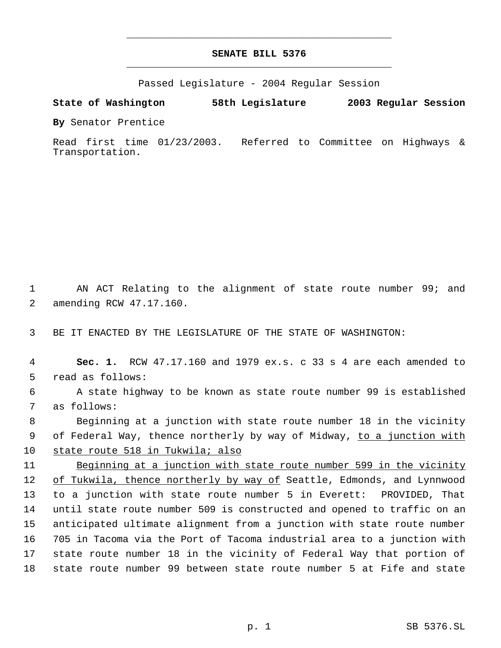## **SENATE BILL 5376** \_\_\_\_\_\_\_\_\_\_\_\_\_\_\_\_\_\_\_\_\_\_\_\_\_\_\_\_\_\_\_\_\_\_\_\_\_\_\_\_\_\_\_\_\_

\_\_\_\_\_\_\_\_\_\_\_\_\_\_\_\_\_\_\_\_\_\_\_\_\_\_\_\_\_\_\_\_\_\_\_\_\_\_\_\_\_\_\_\_\_

Passed Legislature - 2004 Regular Session

**State of Washington 58th Legislature 2003 Regular Session**

**By** Senator Prentice

Read first time 01/23/2003. Referred to Committee on Highways & Transportation.

 1 AN ACT Relating to the alignment of state route number 99; and 2 amending RCW 47.17.160.

3 BE IT ENACTED BY THE LEGISLATURE OF THE STATE OF WASHINGTON:

 **Sec. 1.** RCW 47.17.160 and 1979 ex.s. c 33 s 4 are each amended to read as follows: A state highway to be known as state route number 99 is established as follows: Beginning at a junction with state route number 18 in the vicinity 9 of Federal Way, thence northerly by way of Midway, to a junction with state route 518 in Tukwila; also Beginning at a junction with state route number 599 in the vicinity 12 of Tukwila, thence northerly by way of Seattle, Edmonds, and Lynnwood to a junction with state route number 5 in Everett: PROVIDED, That until state route number 509 is constructed and opened to traffic on an anticipated ultimate alignment from a junction with state route number 705 in Tacoma via the Port of Tacoma industrial area to a junction with state route number 18 in the vicinity of Federal Way that portion of state route number 99 between state route number 5 at Fife and state